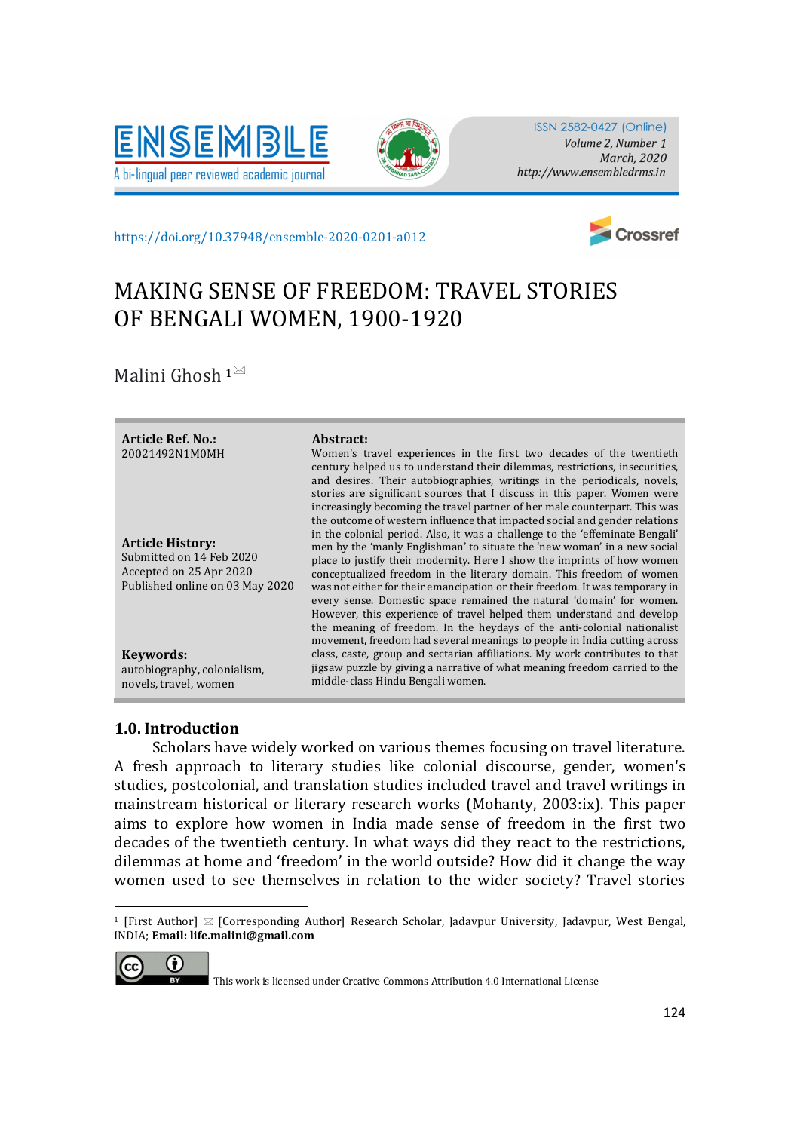



ISSN 2582-0427 (Online) Volume 2, Number 1 March. 2020 http://www.ensembledrms.in

https://doi.org/10.37948/ensemble-2020-0201-a012



# MAKING SENSE OF FREEDOM: TRAVEL STORIES OF BENGALI WOMEN, 1900-1920

Malini Ghosh  $1^{\boxtimes}$ 

| <b>Article Ref. No.:</b><br>20021492N1M0MH<br><b>Article History:</b><br>Submitted on 14 Feb 2020<br>Accepted on 25 Apr 2020<br>Published online on 03 May 2020 | Abstract:<br>Women's travel experiences in the first two decades of the twentieth<br>century helped us to understand their dilemmas, restrictions, insecurities,<br>and desires. Their autobiographies, writings in the periodicals, novels,<br>stories are significant sources that I discuss in this paper. Women were<br>increasingly becoming the travel partner of her male counterpart. This was<br>the outcome of western influence that impacted social and gender relations<br>in the colonial period. Also, it was a challenge to the 'effeminate Bengali'<br>men by the 'manly Englishman' to situate the 'new woman' in a new social<br>place to justify their modernity. Here I show the imprints of how women<br>conceptualized freedom in the literary domain. This freedom of women<br>was not either for their emancipation or their freedom. It was temporary in<br>every sense. Domestic space remained the natural 'domain' for women.<br>However, this experience of travel helped them understand and develop<br>the meaning of freedom. In the heydays of the anti-colonial nationalist<br>movement, freedom had several meanings to people in India cutting across |
|-----------------------------------------------------------------------------------------------------------------------------------------------------------------|--------------------------------------------------------------------------------------------------------------------------------------------------------------------------------------------------------------------------------------------------------------------------------------------------------------------------------------------------------------------------------------------------------------------------------------------------------------------------------------------------------------------------------------------------------------------------------------------------------------------------------------------------------------------------------------------------------------------------------------------------------------------------------------------------------------------------------------------------------------------------------------------------------------------------------------------------------------------------------------------------------------------------------------------------------------------------------------------------------------------------------------------------------------------------------------------|
| Keywords:                                                                                                                                                       | class, caste, group and sectarian affiliations. My work contributes to that                                                                                                                                                                                                                                                                                                                                                                                                                                                                                                                                                                                                                                                                                                                                                                                                                                                                                                                                                                                                                                                                                                                |
| autobiography, colonialism,                                                                                                                                     | jigsaw puzzle by giving a narrative of what meaning freedom carried to the                                                                                                                                                                                                                                                                                                                                                                                                                                                                                                                                                                                                                                                                                                                                                                                                                                                                                                                                                                                                                                                                                                                 |
| novels, travel, women                                                                                                                                           | middle-class Hindu Bengali women.                                                                                                                                                                                                                                                                                                                                                                                                                                                                                                                                                                                                                                                                                                                                                                                                                                                                                                                                                                                                                                                                                                                                                          |

## 1.0. Introduction

 Scholars have widely worked on various themes focusing on travel literature. A fresh approach to literary studies like colonial discourse, gender, women's studies, postcolonial, and translation studies included travel and travel writings in mainstream historical or literary research works (Mohanty, 2003:ix). This paper aims to explore how women in India made sense of freedom in the first two decades of the twentieth century. In what ways did they react to the restrictions, dilemmas at home and 'freedom' in the world outside? How did it change the way women used to see themselves in relation to the wider society? Travel stories

<sup>1 [</sup>First Author]  $\boxtimes$  [Corresponding Author] Research Scholar, Jadavpur University, Jadavpur, West Bengal, INDIA; Email: life.malini@gmail.com



This work is licensed under Creative Commons Attribution 4.0 International License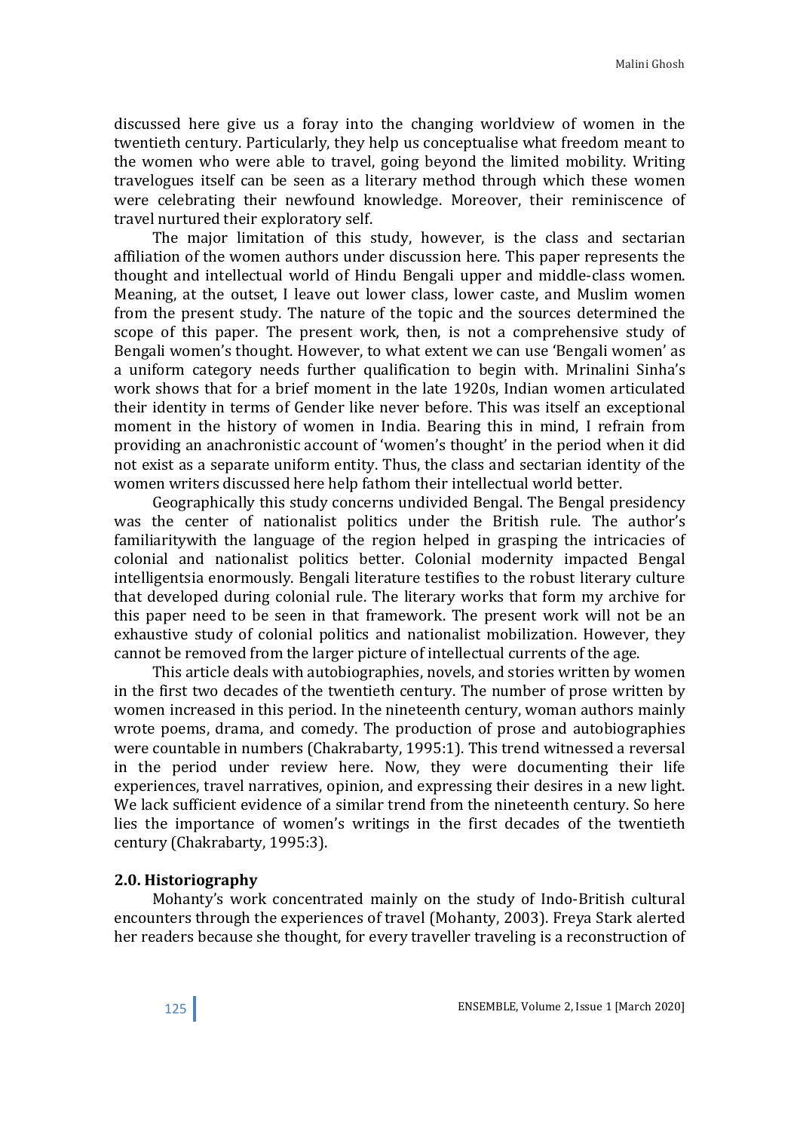discussed here give us a foray into the changing worldview of women in the twentieth century. Particularly, they help us conceptualise what freedom meant to the women who were able to travel, going beyond the limited mobility. Writing travelogues itself can be seen as a literary method through which these women were celebrating their newfound knowledge. Moreover, their reminiscence of travel nurtured their exploratory self.

 The major limitation of this study, however, is the class and sectarian affiliation of the women authors under discussion here. This paper represents the thought and intellectual world of Hindu Bengali upper and middle-class women. Meaning, at the outset, I leave out lower class, lower caste, and Muslim women from the present study. The nature of the topic and the sources determined the scope of this paper. The present work, then, is not a comprehensive study of Bengali women's thought. However, to what extent we can use 'Bengali women' as a uniform category needs further qualification to begin with. Mrinalini Sinha's work shows that for a brief moment in the late 1920s, Indian women articulated their identity in terms of Gender like never before. This was itself an exceptional moment in the history of women in India. Bearing this in mind, I refrain from providing an anachronistic account of 'women's thought' in the period when it did not exist as a separate uniform entity. Thus, the class and sectarian identity of the women writers discussed here help fathom their intellectual world better.

 Geographically this study concerns undivided Bengal. The Bengal presidency was the center of nationalist politics under the British rule. The author's familiaritywith the language of the region helped in grasping the intricacies of colonial and nationalist politics better. Colonial modernity impacted Bengal intelligentsia enormously. Bengali literature testifies to the robust literary culture that developed during colonial rule. The literary works that form my archive for this paper need to be seen in that framework. The present work will not be an exhaustive study of colonial politics and nationalist mobilization. However, they cannot be removed from the larger picture of intellectual currents of the age.

 This article deals with autobiographies, novels, and stories written by women in the first two decades of the twentieth century. The number of prose written by women increased in this period. In the nineteenth century, woman authors mainly wrote poems, drama, and comedy. The production of prose and autobiographies were countable in numbers (Chakrabarty, 1995:1). This trend witnessed a reversal in the period under review here. Now, they were documenting their life experiences, travel narratives, opinion, and expressing their desires in a new light. We lack sufficient evidence of a similar trend from the nineteenth century. So here lies the importance of women's writings in the first decades of the twentieth century (Chakrabarty, 1995:3).

## 2.0. Historiography

 Mohanty's work concentrated mainly on the study of Indo-British cultural encounters through the experiences of travel (Mohanty, 2003). Freya Stark alerted her readers because she thought, for every traveller traveling is a reconstruction of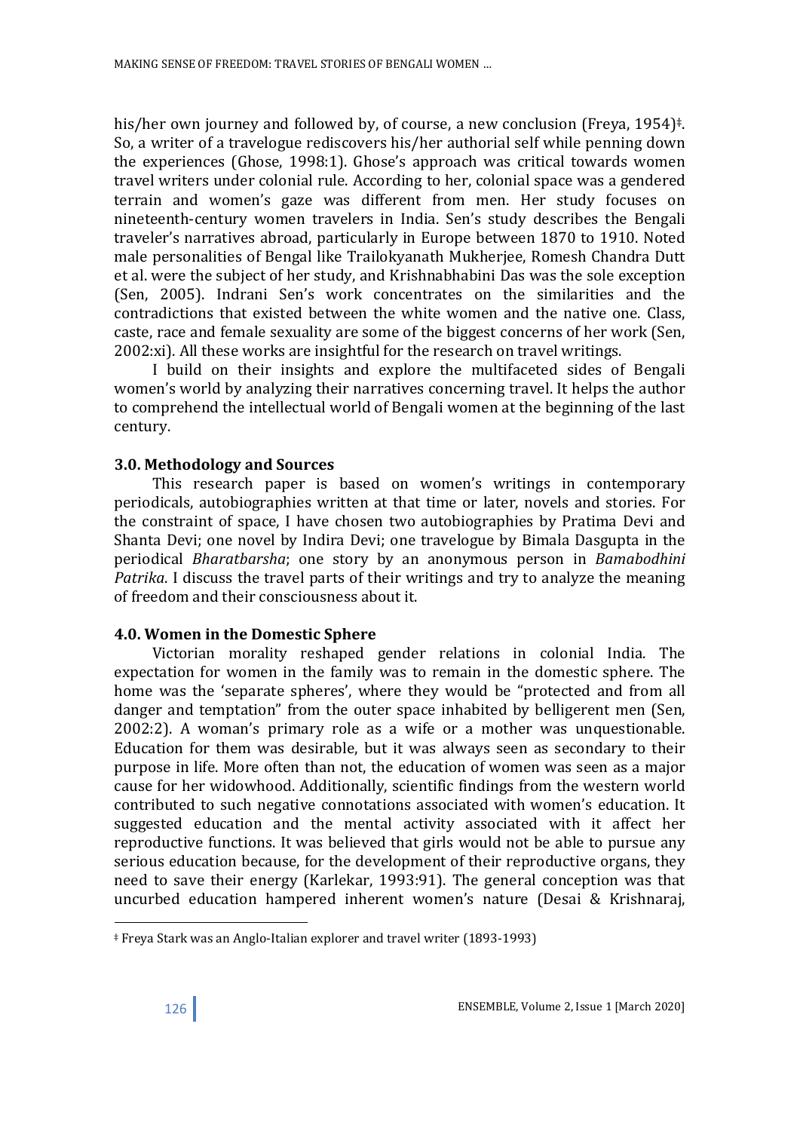his/her own journey and followed by, of course, a new conclusion (Freya, 1954)<sup>‡</sup>. So, a writer of a travelogue rediscovers his/her authorial self while penning down the experiences (Ghose, 1998:1). Ghose's approach was critical towards women travel writers under colonial rule. According to her, colonial space was a gendered terrain and women's gaze was different from men. Her study focuses on nineteenth-century women travelers in India. Sen's study describes the Bengali traveler's narratives abroad, particularly in Europe between 1870 to 1910. Noted male personalities of Bengal like Trailokyanath Mukherjee, Romesh Chandra Dutt et al. were the subject of her study, and Krishnabhabini Das was the sole exception (Sen, 2005). Indrani Sen's work concentrates on the similarities and the contradictions that existed between the white women and the native one. Class, caste, race and female sexuality are some of the biggest concerns of her work (Sen, 2002:xi). All these works are insightful for the research on travel writings.

 I build on their insights and explore the multifaceted sides of Bengali women's world by analyzing their narratives concerning travel. It helps the author to comprehend the intellectual world of Bengali women at the beginning of the last century.

## 3.0. Methodology and Sources

 This research paper is based on women's writings in contemporary periodicals, autobiographies written at that time or later, novels and stories. For the constraint of space, I have chosen two autobiographies by Pratima Devi and Shanta Devi; one novel by Indira Devi; one travelogue by Bimala Dasgupta in the periodical Bharatbarsha; one story by an anonymous person in Bamabodhini Patrika. I discuss the travel parts of their writings and try to analyze the meaning of freedom and their consciousness about it.

## 4.0. Women in the Domestic Sphere

 Victorian morality reshaped gender relations in colonial India. The expectation for women in the family was to remain in the domestic sphere. The home was the 'separate spheres', where they would be "protected and from all danger and temptation" from the outer space inhabited by belligerent men (Sen, 2002:2). A woman's primary role as a wife or a mother was unquestionable. Education for them was desirable, but it was always seen as secondary to their purpose in life. More often than not, the education of women was seen as a major cause for her widowhood. Additionally, scientific findings from the western world contributed to such negative connotations associated with women's education. It suggested education and the mental activity associated with it affect her reproductive functions. It was believed that girls would not be able to pursue any serious education because, for the development of their reproductive organs, they need to save their energy (Karlekar, 1993:91). The general conception was that uncurbed education hampered inherent women's nature (Desai & Krishnaraj,

-

<sup>‡</sup> Freya Stark was an Anglo-Italian explorer and travel writer (1893-1993)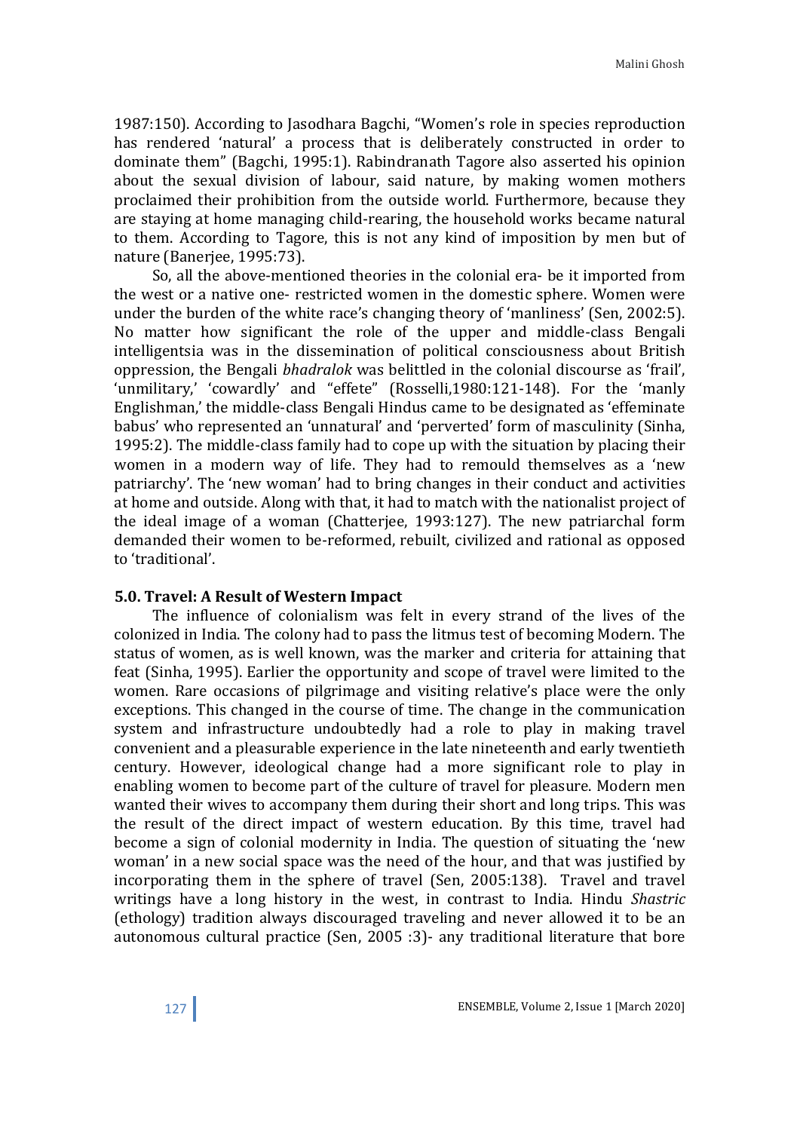1987:150). According to Jasodhara Bagchi, "Women's role in species reproduction has rendered 'natural' a process that is deliberately constructed in order to dominate them" (Bagchi, 1995:1). Rabindranath Tagore also asserted his opinion about the sexual division of labour, said nature, by making women mothers proclaimed their prohibition from the outside world. Furthermore, because they are staying at home managing child-rearing, the household works became natural to them. According to Tagore, this is not any kind of imposition by men but of nature (Banerjee, 1995:73).

 So, all the above-mentioned theories in the colonial era- be it imported from the west or a native one- restricted women in the domestic sphere. Women were under the burden of the white race's changing theory of 'manliness' (Sen, 2002:5). No matter how significant the role of the upper and middle-class Bengali intelligentsia was in the dissemination of political consciousness about British oppression, the Bengali bhadralok was belittled in the colonial discourse as 'frail', 'unmilitary,' 'cowardly' and "effete" (Rosselli,1980:121-148). For the 'manly Englishman,' the middle-class Bengali Hindus came to be designated as 'effeminate babus' who represented an 'unnatural' and 'perverted' form of masculinity (Sinha, 1995:2). The middle-class family had to cope up with the situation by placing their women in a modern way of life. They had to remould themselves as a 'new patriarchy'. The 'new woman' had to bring changes in their conduct and activities at home and outside. Along with that, it had to match with the nationalist project of the ideal image of a woman (Chatterjee, 1993:127). The new patriarchal form demanded their women to be-reformed, rebuilt, civilized and rational as opposed to 'traditional'.

#### 5.0. Travel: A Result of Western Impact

 The influence of colonialism was felt in every strand of the lives of the colonized in India. The colony had to pass the litmus test of becoming Modern. The status of women, as is well known, was the marker and criteria for attaining that feat (Sinha, 1995). Earlier the opportunity and scope of travel were limited to the women. Rare occasions of pilgrimage and visiting relative's place were the only exceptions. This changed in the course of time. The change in the communication system and infrastructure undoubtedly had a role to play in making travel convenient and a pleasurable experience in the late nineteenth and early twentieth century. However, ideological change had a more significant role to play in enabling women to become part of the culture of travel for pleasure. Modern men wanted their wives to accompany them during their short and long trips. This was the result of the direct impact of western education. By this time, travel had become a sign of colonial modernity in India. The question of situating the 'new woman' in a new social space was the need of the hour, and that was justified by incorporating them in the sphere of travel (Sen, 2005:138). Travel and travel writings have a long history in the west, in contrast to India. Hindu Shastric (ethology) tradition always discouraged traveling and never allowed it to be an autonomous cultural practice (Sen, 2005 :3)- any traditional literature that bore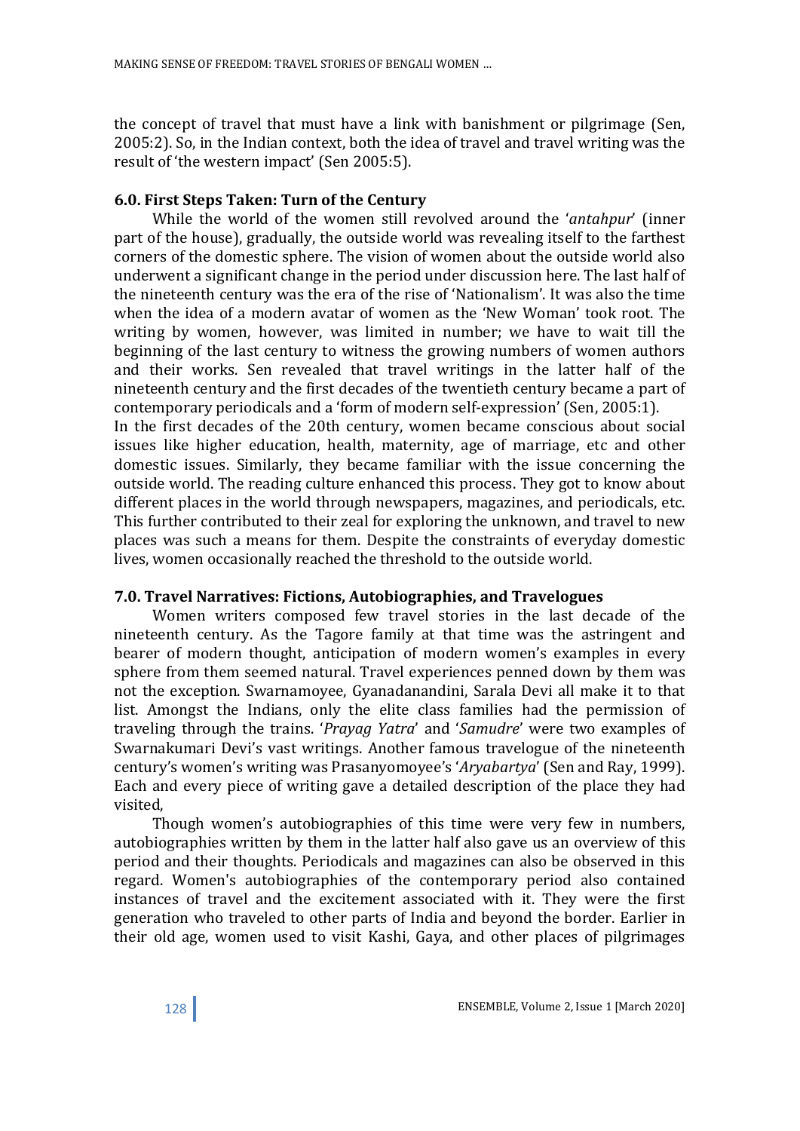the concept of travel that must have a link with banishment or pilgrimage (Sen, 2005:2). So, in the Indian context, both the idea of travel and travel writing was the result of 'the western impact' (Sen 2005:5).

## 6.0. First Steps Taken: Turn of the Century

While the world of the women still revolved around the *'antahpur'* (inner part of the house), gradually, the outside world was revealing itself to the farthest corners of the domestic sphere. The vision of women about the outside world also underwent a significant change in the period under discussion here. The last half of the nineteenth century was the era of the rise of 'Nationalism'. It was also the time when the idea of a modern avatar of women as the 'New Woman' took root. The writing by women, however, was limited in number; we have to wait till the beginning of the last century to witness the growing numbers of women authors and their works. Sen revealed that travel writings in the latter half of the nineteenth century and the first decades of the twentieth century became a part of contemporary periodicals and a 'form of modern self-expression' (Sen, 2005:1). In the first decades of the 20th century, women became conscious about social issues like higher education, health, maternity, age of marriage, etc and other domestic issues. Similarly, they became familiar with the issue concerning the outside world. The reading culture enhanced this process. They got to know about different places in the world through newspapers, magazines, and periodicals, etc. This further contributed to their zeal for exploring the unknown, and travel to new places was such a means for them. Despite the constraints of everyday domestic lives, women occasionally reached the threshold to the outside world.

## 7.0. Travel Narratives: Fictions, Autobiographies, and Travelogues

 Women writers composed few travel stories in the last decade of the nineteenth century. As the Tagore family at that time was the astringent and bearer of modern thought, anticipation of modern women's examples in every sphere from them seemed natural. Travel experiences penned down by them was not the exception. Swarnamoyee, Gyanadanandini, Sarala Devi all make it to that list. Amongst the Indians, only the elite class families had the permission of traveling through the trains. 'Prayag Yatra' and 'Samudre' were two examples of Swarnakumari Devi's vast writings. Another famous travelogue of the nineteenth century's women's writing was Prasanyomoyee's 'Aryabartya' (Sen and Ray, 1999). Each and every piece of writing gave a detailed description of the place they had visited,

 Though women's autobiographies of this time were very few in numbers, autobiographies written by them in the latter half also gave us an overview of this period and their thoughts. Periodicals and magazines can also be observed in this regard. Women's autobiographies of the contemporary period also contained instances of travel and the excitement associated with it. They were the first generation who traveled to other parts of India and beyond the border. Earlier in their old age, women used to visit Kashi, Gaya, and other places of pilgrimages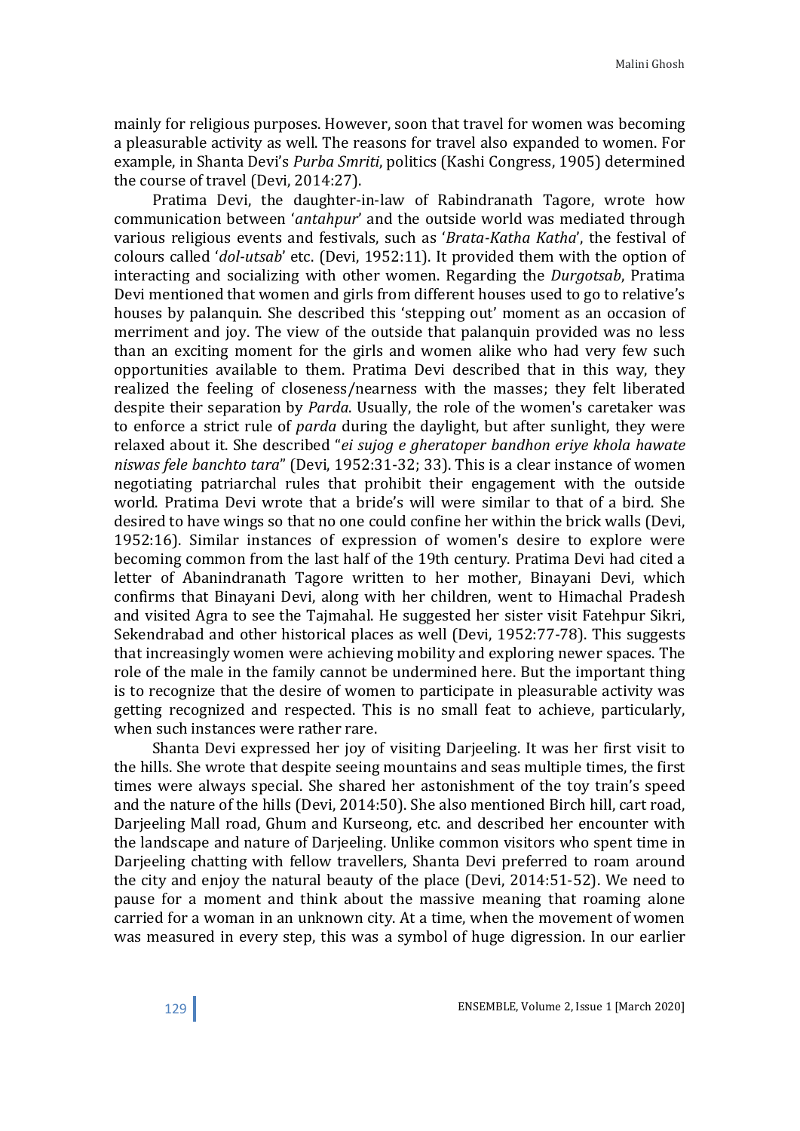mainly for religious purposes. However, soon that travel for women was becoming a pleasurable activity as well. The reasons for travel also expanded to women. For example, in Shanta Devi's Purba Smriti, politics (Kashi Congress, 1905) determined the course of travel (Devi, 2014:27).

 Pratima Devi, the daughter-in-law of Rabindranath Tagore, wrote how communication between 'antahpur' and the outside world was mediated through various religious events and festivals, such as 'Brata-Katha Katha', the festival of colours called 'dol-utsab' etc. (Devi, 1952:11). It provided them with the option of interacting and socializing with other women. Regarding the Durgotsab, Pratima Devi mentioned that women and girls from different houses used to go to relative's houses by palanquin. She described this 'stepping out' moment as an occasion of merriment and joy. The view of the outside that palanquin provided was no less than an exciting moment for the girls and women alike who had very few such opportunities available to them. Pratima Devi described that in this way, they realized the feeling of closeness/nearness with the masses; they felt liberated despite their separation by *Parda*. Usually, the role of the women's caretaker was to enforce a strict rule of *parda* during the daylight, but after sunlight, they were relaxed about it. She described "ei sujog e gheratoper bandhon eriye khola hawate niswas fele banchto tara" (Devi, 1952:31-32; 33). This is a clear instance of women negotiating patriarchal rules that prohibit their engagement with the outside world. Pratima Devi wrote that a bride's will were similar to that of a bird. She desired to have wings so that no one could confine her within the brick walls (Devi, 1952:16). Similar instances of expression of women's desire to explore were becoming common from the last half of the 19th century. Pratima Devi had cited a letter of Abanindranath Tagore written to her mother, Binayani Devi, which confirms that Binayani Devi, along with her children, went to Himachal Pradesh and visited Agra to see the Tajmahal. He suggested her sister visit Fatehpur Sikri, Sekendrabad and other historical places as well (Devi, 1952:77-78). This suggests that increasingly women were achieving mobility and exploring newer spaces. The role of the male in the family cannot be undermined here. But the important thing is to recognize that the desire of women to participate in pleasurable activity was getting recognized and respected. This is no small feat to achieve, particularly, when such instances were rather rare.

 Shanta Devi expressed her joy of visiting Darjeeling. It was her first visit to the hills. She wrote that despite seeing mountains and seas multiple times, the first times were always special. She shared her astonishment of the toy train's speed and the nature of the hills (Devi, 2014:50). She also mentioned Birch hill, cart road, Darjeeling Mall road, Ghum and Kurseong, etc. and described her encounter with the landscape and nature of Darjeeling. Unlike common visitors who spent time in Darjeeling chatting with fellow travellers, Shanta Devi preferred to roam around the city and enjoy the natural beauty of the place (Devi, 2014:51-52). We need to pause for a moment and think about the massive meaning that roaming alone carried for a woman in an unknown city. At a time, when the movement of women was measured in every step, this was a symbol of huge digression. In our earlier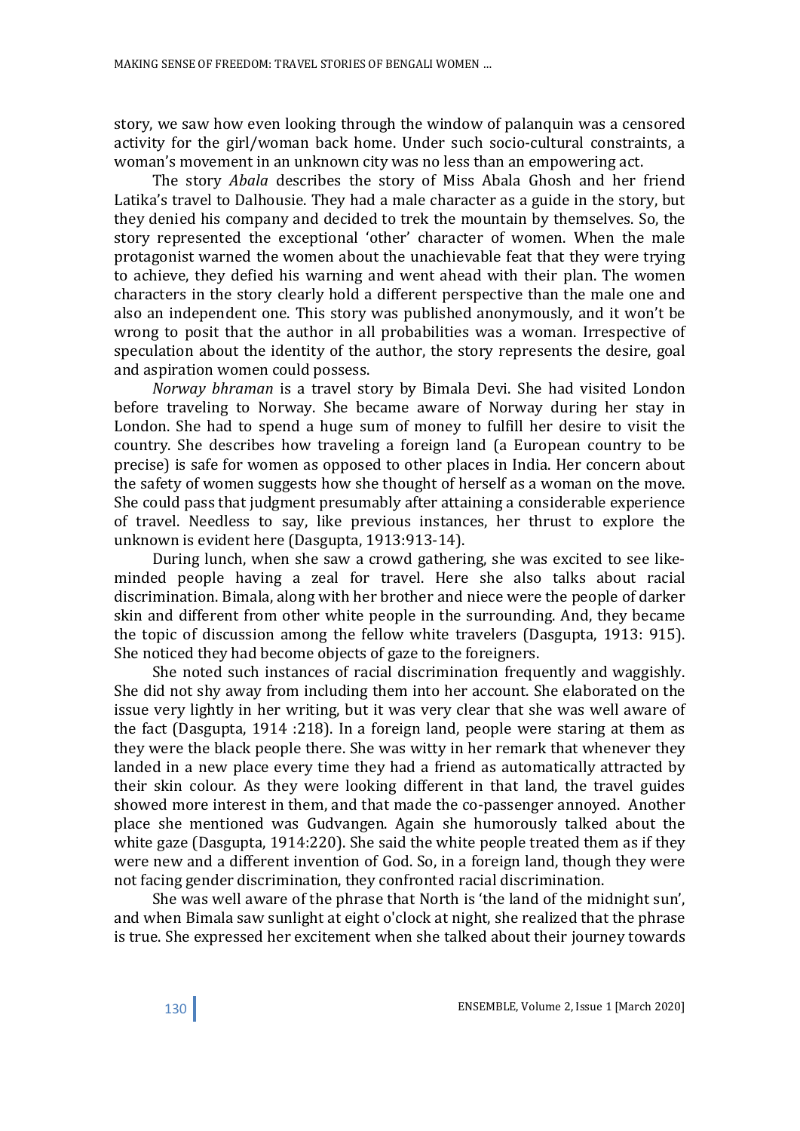story, we saw how even looking through the window of palanquin was a censored activity for the girl/woman back home. Under such socio-cultural constraints, a woman's movement in an unknown city was no less than an empowering act.

 The story Abala describes the story of Miss Abala Ghosh and her friend Latika's travel to Dalhousie. They had a male character as a guide in the story, but they denied his company and decided to trek the mountain by themselves. So, the story represented the exceptional 'other' character of women. When the male protagonist warned the women about the unachievable feat that they were trying to achieve, they defied his warning and went ahead with their plan. The women characters in the story clearly hold a different perspective than the male one and also an independent one. This story was published anonymously, and it won't be wrong to posit that the author in all probabilities was a woman. Irrespective of speculation about the identity of the author, the story represents the desire, goal and aspiration women could possess.

 Norway bhraman is a travel story by Bimala Devi. She had visited London before traveling to Norway. She became aware of Norway during her stay in London. She had to spend a huge sum of money to fulfill her desire to visit the country. She describes how traveling a foreign land (a European country to be precise) is safe for women as opposed to other places in India. Her concern about the safety of women suggests how she thought of herself as a woman on the move. She could pass that judgment presumably after attaining a considerable experience of travel. Needless to say, like previous instances, her thrust to explore the unknown is evident here (Dasgupta, 1913:913-14).

 During lunch, when she saw a crowd gathering, she was excited to see likeminded people having a zeal for travel. Here she also talks about racial discrimination. Bimala, along with her brother and niece were the people of darker skin and different from other white people in the surrounding. And, they became the topic of discussion among the fellow white travelers (Dasgupta, 1913: 915). She noticed they had become objects of gaze to the foreigners.

 She noted such instances of racial discrimination frequently and waggishly. She did not shy away from including them into her account. She elaborated on the issue very lightly in her writing, but it was very clear that she was well aware of the fact (Dasgupta, 1914 :218). In a foreign land, people were staring at them as they were the black people there. She was witty in her remark that whenever they landed in a new place every time they had a friend as automatically attracted by their skin colour. As they were looking different in that land, the travel guides showed more interest in them, and that made the co-passenger annoyed. Another place she mentioned was Gudvangen. Again she humorously talked about the white gaze (Dasgupta, 1914:220). She said the white people treated them as if they were new and a different invention of God. So, in a foreign land, though they were not facing gender discrimination, they confronted racial discrimination.

 She was well aware of the phrase that North is 'the land of the midnight sun', and when Bimala saw sunlight at eight o'clock at night, she realized that the phrase is true. She expressed her excitement when she talked about their journey towards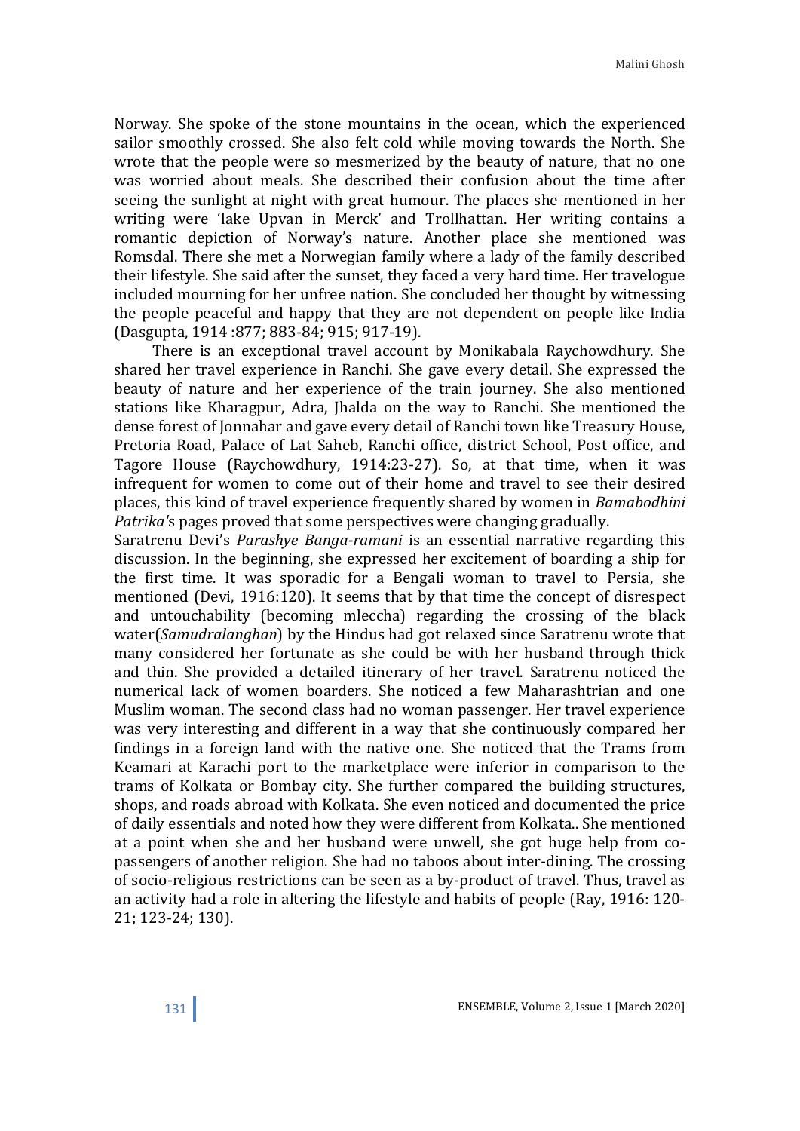Norway. She spoke of the stone mountains in the ocean, which the experienced sailor smoothly crossed. She also felt cold while moving towards the North. She wrote that the people were so mesmerized by the beauty of nature, that no one was worried about meals. She described their confusion about the time after seeing the sunlight at night with great humour. The places she mentioned in her writing were 'lake Upvan in Merck' and Trollhattan. Her writing contains a romantic depiction of Norway's nature. Another place she mentioned was Romsdal. There she met a Norwegian family where a lady of the family described their lifestyle. She said after the sunset, they faced a very hard time. Her travelogue included mourning for her unfree nation. She concluded her thought by witnessing the people peaceful and happy that they are not dependent on people like India (Dasgupta, 1914 :877; 883-84; 915; 917-19).

 There is an exceptional travel account by Monikabala Raychowdhury. She shared her travel experience in Ranchi. She gave every detail. She expressed the beauty of nature and her experience of the train journey. She also mentioned stations like Kharagpur, Adra, Jhalda on the way to Ranchi. She mentioned the dense forest of Jonnahar and gave every detail of Ranchi town like Treasury House, Pretoria Road, Palace of Lat Saheb, Ranchi office, district School, Post office, and Tagore House (Raychowdhury, 1914:23-27). So, at that time, when it was infrequent for women to come out of their home and travel to see their desired places, this kind of travel experience frequently shared by women in Bamabodhini Patrika's pages proved that some perspectives were changing gradually.

Saratrenu Devi's Parashye Banga-ramani is an essential narrative regarding this discussion. In the beginning, she expressed her excitement of boarding a ship for the first time. It was sporadic for a Bengali woman to travel to Persia, she mentioned (Devi, 1916:120). It seems that by that time the concept of disrespect and untouchability (becoming mleccha) regarding the crossing of the black water(Samudralanghan) by the Hindus had got relaxed since Saratrenu wrote that many considered her fortunate as she could be with her husband through thick and thin. She provided a detailed itinerary of her travel. Saratrenu noticed the numerical lack of women boarders. She noticed a few Maharashtrian and one Muslim woman. The second class had no woman passenger. Her travel experience was very interesting and different in a way that she continuously compared her findings in a foreign land with the native one. She noticed that the Trams from Keamari at Karachi port to the marketplace were inferior in comparison to the trams of Kolkata or Bombay city. She further compared the building structures, shops, and roads abroad with Kolkata. She even noticed and documented the price of daily essentials and noted how they were different from Kolkata.. She mentioned at a point when she and her husband were unwell, she got huge help from copassengers of another religion. She had no taboos about inter-dining. The crossing of socio-religious restrictions can be seen as a by-product of travel. Thus, travel as an activity had a role in altering the lifestyle and habits of people (Ray, 1916: 120- 21; 123-24; 130).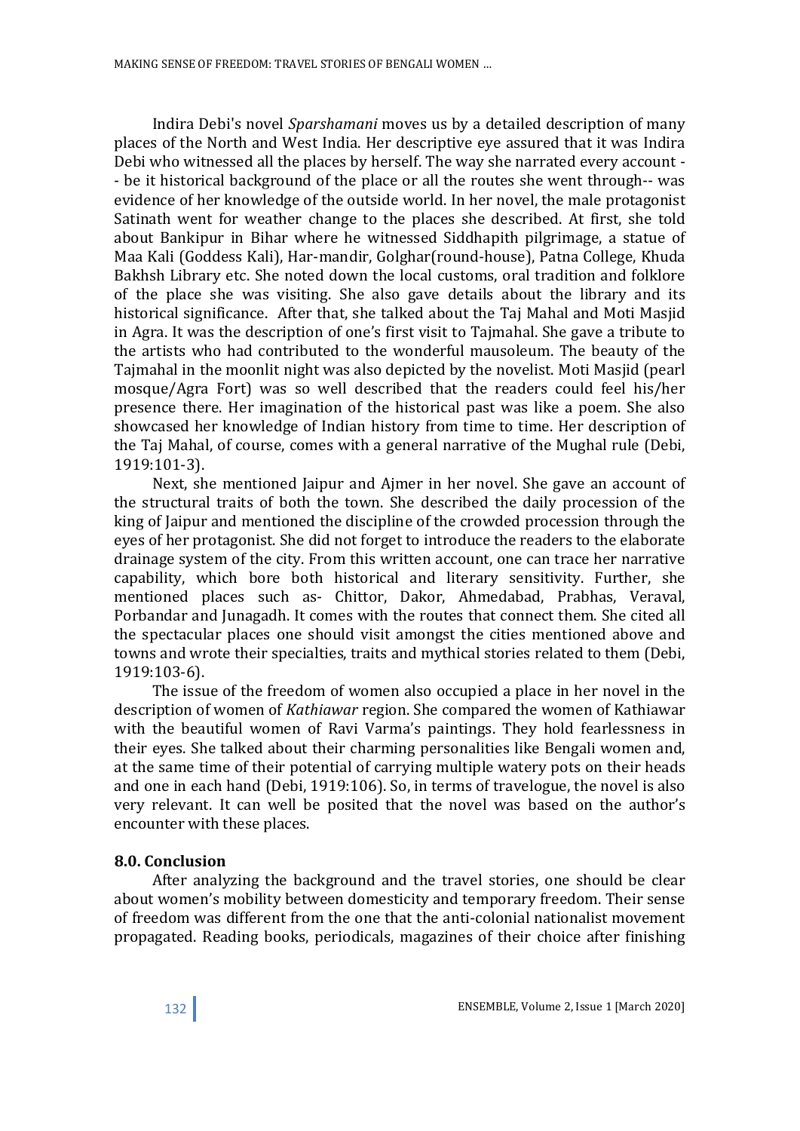Indira Debi's novel Sparshamani moves us by a detailed description of many places of the North and West India. Her descriptive eye assured that it was Indira Debi who witnessed all the places by herself. The way she narrated every account - - be it historical background of the place or all the routes she went through-- was evidence of her knowledge of the outside world. In her novel, the male protagonist Satinath went for weather change to the places she described. At first, she told about Bankipur in Bihar where he witnessed Siddhapith pilgrimage, a statue of Maa Kali (Goddess Kali), Har-mandir, Golghar(round-house), Patna College, Khuda Bakhsh Library etc. She noted down the local customs, oral tradition and folklore of the place she was visiting. She also gave details about the library and its historical significance. After that, she talked about the Taj Mahal and Moti Masjid in Agra. It was the description of one's first visit to Tajmahal. She gave a tribute to the artists who had contributed to the wonderful mausoleum. The beauty of the Tajmahal in the moonlit night was also depicted by the novelist. Moti Masjid (pearl mosque/Agra Fort) was so well described that the readers could feel his/her presence there. Her imagination of the historical past was like a poem. She also showcased her knowledge of Indian history from time to time. Her description of the Taj Mahal, of course, comes with a general narrative of the Mughal rule (Debi, 1919:101-3).

 Next, she mentioned Jaipur and Ajmer in her novel. She gave an account of the structural traits of both the town. She described the daily procession of the king of Jaipur and mentioned the discipline of the crowded procession through the eyes of her protagonist. She did not forget to introduce the readers to the elaborate drainage system of the city. From this written account, one can trace her narrative capability, which bore both historical and literary sensitivity. Further, she mentioned places such as- Chittor, Dakor, Ahmedabad, Prabhas, Veraval, Porbandar and Junagadh. It comes with the routes that connect them. She cited all the spectacular places one should visit amongst the cities mentioned above and towns and wrote their specialties, traits and mythical stories related to them (Debi, 1919:103-6).

 The issue of the freedom of women also occupied a place in her novel in the description of women of Kathiawar region. She compared the women of Kathiawar with the beautiful women of Ravi Varma's paintings. They hold fearlessness in their eyes. She talked about their charming personalities like Bengali women and, at the same time of their potential of carrying multiple watery pots on their heads and one in each hand (Debi, 1919:106). So, in terms of travelogue, the novel is also very relevant. It can well be posited that the novel was based on the author's encounter with these places.

## 8.0. Conclusion

 After analyzing the background and the travel stories, one should be clear about women's mobility between domesticity and temporary freedom. Their sense of freedom was different from the one that the anti-colonial nationalist movement propagated. Reading books, periodicals, magazines of their choice after finishing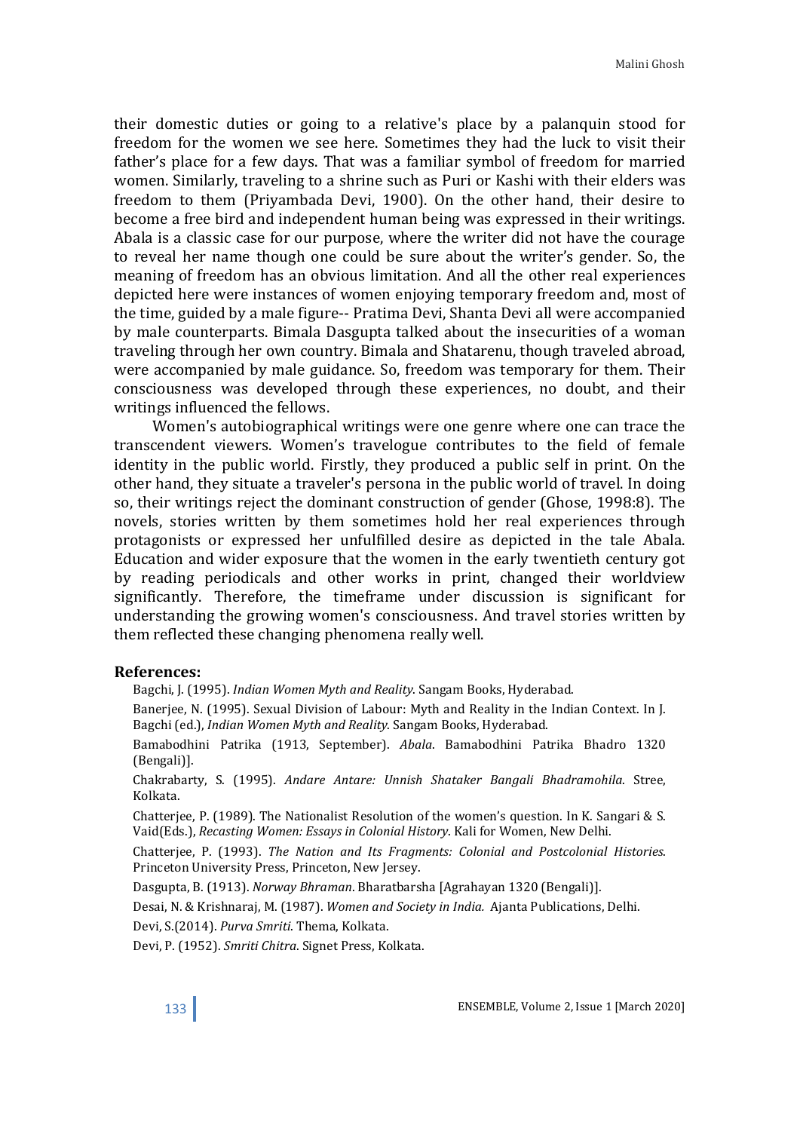their domestic duties or going to a relative's place by a palanquin stood for freedom for the women we see here. Sometimes they had the luck to visit their father's place for a few days. That was a familiar symbol of freedom for married women. Similarly, traveling to a shrine such as Puri or Kashi with their elders was freedom to them (Priyambada Devi, 1900). On the other hand, their desire to become a free bird and independent human being was expressed in their writings. Abala is a classic case for our purpose, where the writer did not have the courage to reveal her name though one could be sure about the writer's gender. So, the meaning of freedom has an obvious limitation. And all the other real experiences depicted here were instances of women enjoying temporary freedom and, most of the time, guided by a male figure-- Pratima Devi, Shanta Devi all were accompanied by male counterparts. Bimala Dasgupta talked about the insecurities of a woman traveling through her own country. Bimala and Shatarenu, though traveled abroad, were accompanied by male guidance. So, freedom was temporary for them. Their consciousness was developed through these experiences, no doubt, and their writings influenced the fellows.

 Women's autobiographical writings were one genre where one can trace the transcendent viewers. Women's travelogue contributes to the field of female identity in the public world. Firstly, they produced a public self in print. On the other hand, they situate a traveler's persona in the public world of travel. In doing so, their writings reject the dominant construction of gender (Ghose, 1998:8). The novels, stories written by them sometimes hold her real experiences through protagonists or expressed her unfulfilled desire as depicted in the tale Abala. Education and wider exposure that the women in the early twentieth century got by reading periodicals and other works in print, changed their worldview significantly. Therefore, the timeframe under discussion is significant for understanding the growing women's consciousness. And travel stories written by them reflected these changing phenomena really well.

#### References:

Bagchi, J. (1995). Indian Women Myth and Reality. Sangam Books, Hyderabad.

Banerjee, N. (1995). Sexual Division of Labour: Myth and Reality in the Indian Context. In J. Bagchi (ed.), Indian Women Myth and Reality. Sangam Books, Hyderabad.

Bamabodhini Patrika (1913, September). Abala. Bamabodhini Patrika Bhadro 1320 (Bengali)].

Chakrabarty, S. (1995). Andare Antare: Unnish Shataker Bangali Bhadramohila. Stree, Kolkata.

Chatterjee, P. (1989). The Nationalist Resolution of the women's question. In K. Sangari & S. Vaid(Eds.), Recasting Women: Essays in Colonial History. Kali for Women, New Delhi.

Chatterjee, P. (1993). The Nation and Its Fragments: Colonial and Postcolonial Histories. Princeton University Press, Princeton, New Jersey.

Dasgupta, B. (1913). Norway Bhraman. Bharatbarsha [Agrahayan 1320 (Bengali)].

Desai, N. & Krishnaraj, M. (1987). Women and Society in India. Ajanta Publications, Delhi.

Devi, S.(2014). Purva Smriti. Thema, Kolkata.

Devi, P. (1952). Smriti Chitra. Signet Press, Kolkata.